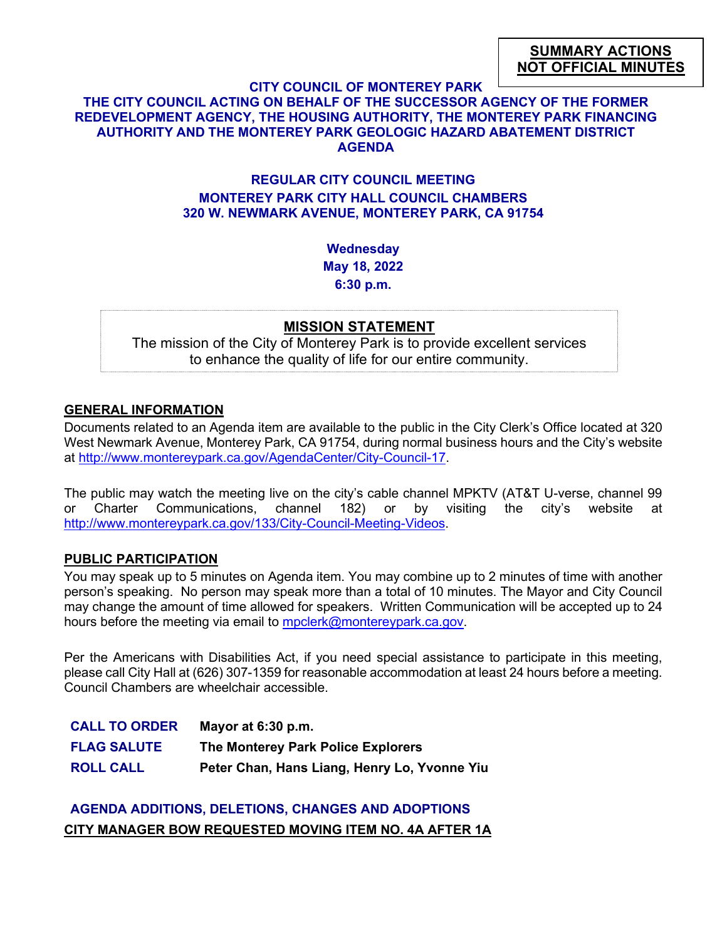#### **CITY COUNCIL OF MONTEREY PARK**

## **THE CITY COUNCIL ACTING ON BEHALF OF THE SUCCESSOR AGENCY OF THE FORMER REDEVELOPMENT AGENCY, THE HOUSING AUTHORITY, THE MONTEREY PARK FINANCING AUTHORITY AND THE MONTEREY PARK GEOLOGIC HAZARD ABATEMENT DISTRICT AGENDA**

## **REGULAR CITY COUNCIL MEETING MONTEREY PARK CITY HALL COUNCIL CHAMBERS 320 W. NEWMARK AVENUE, MONTEREY PARK, CA 91754**

**Wednesday May 18, 2022 6:30 p.m.**

#### **MISSION STATEMENT**

The mission of the City of Monterey Park is to provide excellent services to enhance the quality of life for our entire community.

#### **GENERAL INFORMATION**

Documents related to an Agenda item are available to the public in the City Clerk's Office located at 320 West Newmark Avenue, Monterey Park, CA 91754, during normal business hours and the City's website at [http://www.montereypark.ca.gov/AgendaCenter/City-Council-17.](http://www.montereypark.ca.gov/AgendaCenter/City-Council-17)

The public may watch the meeting live on the city's cable channel MPKTV (AT&T U-verse, channel 99 or Charter Communications, channel 182) or by visiting the city's website at [http://www.montereypark.ca.gov/133/City-Council-Meeting-Videos.](http://www.montereypark.ca.gov/133/City-Council-Meeting-Videos)

#### **PUBLIC PARTICIPATION**

You may speak up to 5 minutes on Agenda item. You may combine up to 2 minutes of time with another person's speaking. No person may speak more than a total of 10 minutes. The Mayor and City Council may change the amount of time allowed for speakers. Written Communication will be accepted up to 24 hours before the meeting via email to [mpclerk@montereypark.ca.gov.](mailto:mpclerk@montereypark.ca.gov)

Per the Americans with Disabilities Act, if you need special assistance to participate in this meeting, please call City Hall at (626) 307-1359 for reasonable accommodation at least 24 hours before a meeting. Council Chambers are wheelchair accessible.

| <b>CALL TO ORDER</b> | Mayor at $6:30$ p.m.                         |
|----------------------|----------------------------------------------|
| <b>FLAG SALUTE</b>   | The Monterey Park Police Explorers           |
| <b>ROLL CALL</b>     | Peter Chan, Hans Liang, Henry Lo, Yvonne Yiu |

# **AGENDA ADDITIONS, DELETIONS, CHANGES AND ADOPTIONS CITY MANAGER BOW REQUESTED MOVING ITEM NO. 4A AFTER 1A**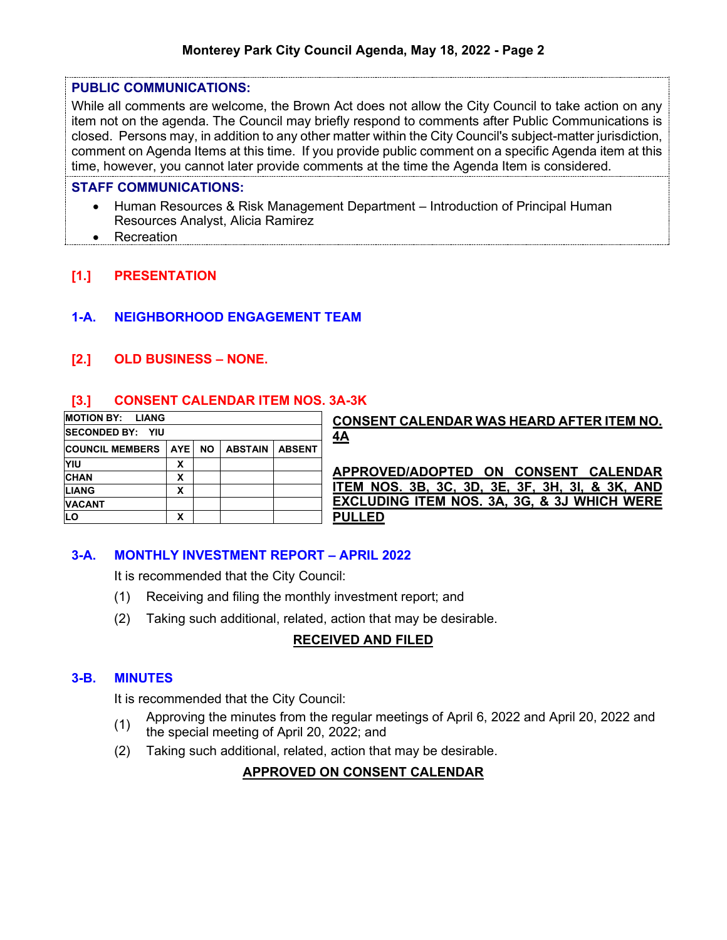#### **PUBLIC COMMUNICATIONS:**

While all comments are welcome, the Brown Act does not allow the City Council to take action on any item not on the agenda. The Council may briefly respond to comments after Public Communications is closed. Persons may, in addition to any other matter within the City Council's subject-matter jurisdiction, comment on Agenda Items at this time. If you provide public comment on a specific Agenda item at this time, however, you cannot later provide comments at the time the Agenda Item is considered.

#### **STAFF COMMUNICATIONS:**

- Human Resources & Risk Management Department Introduction of Principal Human Resources Analyst, Alicia Ramirez
- Recreation

# **[1.] PRESENTATION**

# **1-A. NEIGHBORHOOD ENGAGEMENT TEAM**

# **[2.] OLD BUSINESS – NONE.**

# **[3.] CONSENT CALENDAR ITEM NOS. 3A-3K**

| <b>MOTION BY:</b><br><b>LIANG</b> |                         |     |                |               | <b>CONSENT CALENDAR WAS HEARD AFTER ITEM NO.</b>       |
|-----------------------------------|-------------------------|-----|----------------|---------------|--------------------------------------------------------|
| <b>ISECONDED BY: YIU</b>          |                         |     |                |               | 4A                                                     |
| <b>COUNCIL MEMBERS</b>            | <b>AYE</b>              | NO. | <b>ABSTAIN</b> | <b>ABSENT</b> |                                                        |
| YIU                               | v<br>$\lambda$          |     |                |               |                                                        |
| <b>CHAN</b>                       | x                       |     |                |               | APPROVED/ADOPTED ON CONSENT CALENDAR                   |
| <b>LIANG</b>                      | v<br>$\lambda$          |     |                |               | ITEM NOS. 3B, 3C, 3D, 3E, 3F, 3H, 3I, & 3K, AND        |
| <b>VACANT</b>                     |                         |     |                |               | <b>EXCLUDING ITEM NOS. 3A, 3G, &amp; 3J WHICH WERE</b> |
| LO                                | v<br>$\mathbf{\Lambda}$ |     |                |               | <b>PULLED</b>                                          |

# **3-A. MONTHLY INVESTMENT REPORT – APRIL 2022**

It is recommended that the City Council:

- (1) Receiving and filing the monthly investment report; and
- (2) Taking such additional, related, action that may be desirable.

# **RECEIVED AND FILED**

### **3-B. MINUTES**

It is recommended that the City Council:

- (1) Approving the minutes from the regular meetings of April 6, 2022 and April 20, 2022 and<br>the energial meeting of April 20, 2022, and
- the special meeting of April 20, 2022; and
- (2) Taking such additional, related, action that may be desirable.

### **APPROVED ON CONSENT CALENDAR**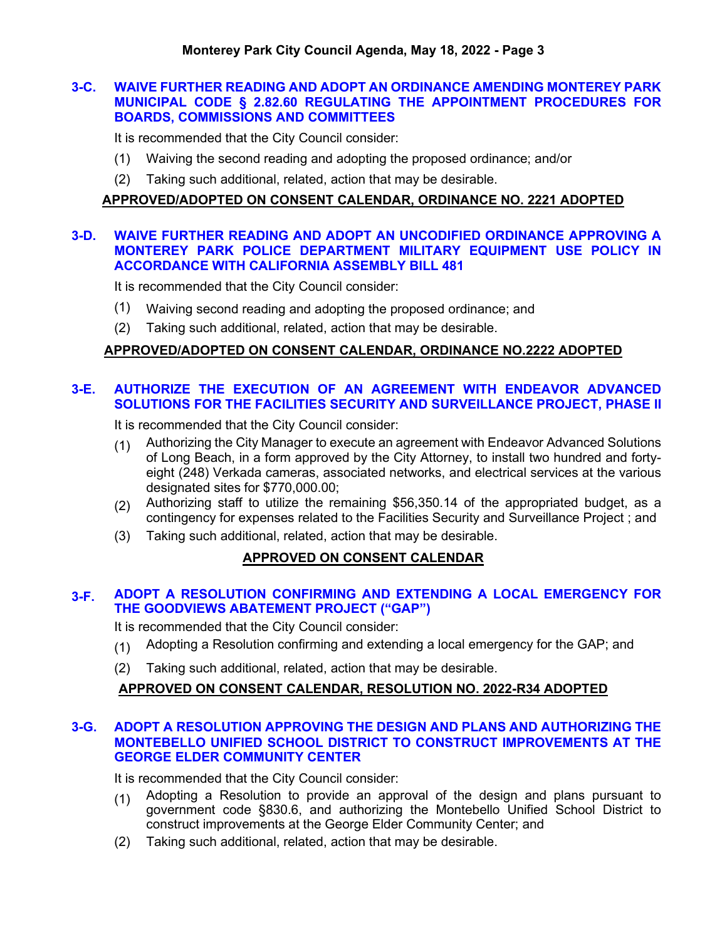### **3-C. WAIVE FURTHER READING AND ADOPT AN ORDINANCE AMENDING MONTEREY PARK MUNICIPAL CODE § 2.82.60 REGULATING THE APPOINTMENT PROCEDURES FOR BOARDS, COMMISSIONS AND COMMITTEES**

It is recommended that the City Council consider:

- (1) Waiving the second reading and adopting the proposed ordinance; and/or
- (2) Taking such additional, related, action that may be desirable.

### **APPROVED/ADOPTED ON CONSENT CALENDAR, ORDINANCE NO. 2221 ADOPTED**

#### **3-D. WAIVE FURTHER READING AND ADOPT AN UNCODIFIED ORDINANCE APPROVING A MONTEREY PARK POLICE DEPARTMENT MILITARY EQUIPMENT USE POLICY IN ACCORDANCE WITH CALIFORNIA ASSEMBLY BILL 481**

It is recommended that the City Council consider:

- (1) Waiving second reading and adopting the proposed ordinance; and
- (2) Taking such additional, related, action that may be desirable.

#### **APPROVED/ADOPTED ON CONSENT CALENDAR, ORDINANCE NO.2222 ADOPTED**

# **3-E. AUTHORIZE THE EXECUTION OF AN AGREEMENT WITH ENDEAVOR ADVANCED SOLUTIONS FOR THE FACILITIES SECURITY AND SURVEILLANCE PROJECT, PHASE II**

It is recommended that the City Council consider:

- (1) Authorizing the City Manager to execute an agreement with Endeavor Advanced Solutions of Long Beach, in a form approved by the City Attorney, to install two hundred and fortyeight (248) Verkada cameras, associated networks, and electrical services at the various designated sites for \$770,000.00;
- (2) Authorizing staff to utilize the remaining \$56,350.14 of the appropriated budget, as a contingency for expenses related to the Facilities Security and Surveillance Project ; and
- (3) Taking such additional, related, action that may be desirable.

### **APPROVED ON CONSENT CALENDAR**

### **3-F. ADOPT A RESOLUTION CONFIRMING AND EXTENDING A LOCAL EMERGENCY FOR THE GOODVIEWS ABATEMENT PROJECT ("GAP")**

It is recommended that the City Council consider:

- (1) Adopting a Resolution confirming and extending a local emergency for the GAP; and
- (2) Taking such additional, related, action that may be desirable.

### **APPROVED ON CONSENT CALENDAR, RESOLUTION NO. 2022-R34 ADOPTED**

#### **3-G. ADOPT A RESOLUTION APPROVING THE DESIGN AND PLANS AND AUTHORIZING THE MONTEBELLO UNIFIED SCHOOL DISTRICT TO CONSTRUCT IMPROVEMENTS AT THE GEORGE ELDER COMMUNITY CENTER**

It is recommended that the City Council consider:

- $(1)$  Adopting a Resolution to provide an approval of the design and plans pursuant to government code §830.6, and authorizing the Montebello Unified School District to construct improvements at the George Elder Community Center; and
- (2) Taking such additional, related, action that may be desirable.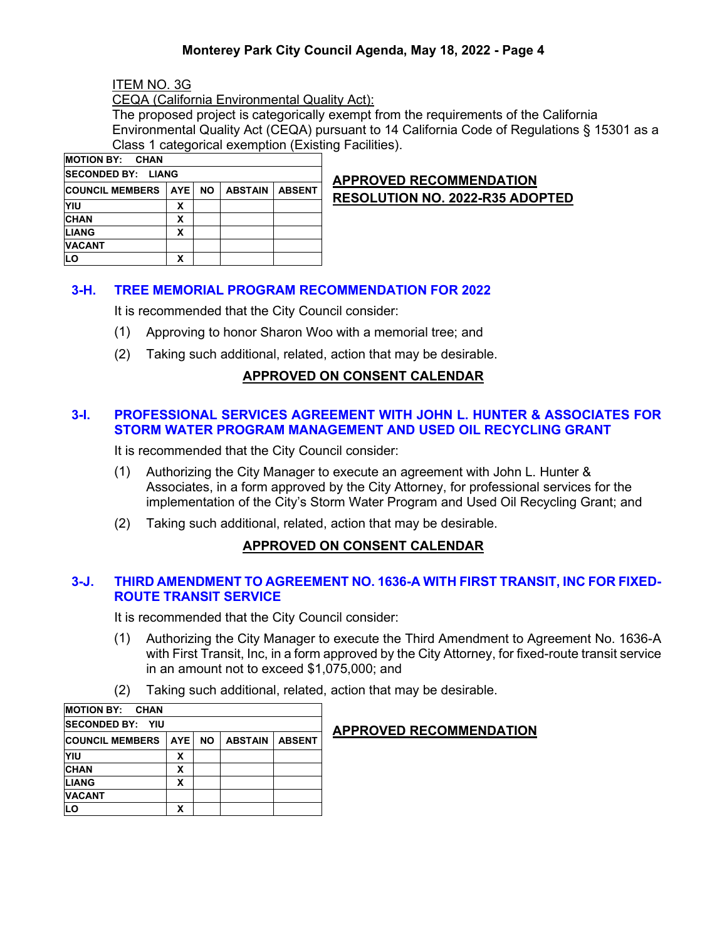# **Monterey Park City Council Agenda, May 18, 2022 - Page 4**

ITEM NO. 3G

CEQA (California Environmental Quality Act):

The proposed project is categorically exempt from the requirements of the California Environmental Quality Act (CEQA) pursuant to 14 California Code of Regulations § 15301 as a Class 1 categorical exemption (Existing Facilities).

| <b>MOTION BY: CHAN</b>     |            |           |                |               |
|----------------------------|------------|-----------|----------------|---------------|
| <b>ISECONDED BY: LIANG</b> |            |           |                |               |
| <b>COUNCIL MEMBERS</b>     | <b>AYE</b> | <b>NO</b> | <b>ABSTAIN</b> | <b>ABSENT</b> |
| YIU                        | х          |           |                |               |
| <b>CHAN</b>                | X          |           |                |               |
| <b>LIANG</b>               | X          |           |                |               |
| <b>VACANT</b>              |            |           |                |               |
| LО                         | х          |           |                |               |

# **APPROVED RECOMMENDATION RESOLUTION NO. 2022-R35 ADOPTED**

## **3-H. TREE MEMORIAL PROGRAM RECOMMENDATION FOR 2022**

It is recommended that the City Council consider:

- (1) Approving to honor Sharon Woo with a memorial tree; and
- (2) Taking such additional, related, action that may be desirable.

### **APPROVED ON CONSENT CALENDAR**

### **3-I. PROFESSIONAL SERVICES AGREEMENT WITH JOHN L. HUNTER & ASSOCIATES FOR STORM WATER PROGRAM MANAGEMENT AND USED OIL RECYCLING GRANT**

It is recommended that the City Council consider:

- (1) Authorizing the City Manager to execute an agreement with John L. Hunter & Associates, in a form approved by the City Attorney, for professional services for the implementation of the City's Storm Water Program and Used Oil Recycling Grant; and
- (2) Taking such additional, related, action that may be desirable.

### **APPROVED ON CONSENT CALENDAR**

### **3-J. THIRD AMENDMENT TO AGREEMENT NO. 1636-A WITH FIRST TRANSIT, INC FOR FIXED-ROUTE TRANSIT SERVICE**

It is recommended that the City Council consider:

- (1) Authorizing the City Manager to execute the Third Amendment to Agreement No. 1636-A with First Transit, Inc, in a form approved by the City Attorney, for fixed-route transit service in an amount not to exceed \$1,075,000; and
- (2) Taking such additional, related, action that may be desirable.

| <b>MOTION BY: CHAN</b>  |       |           |                |               |  |
|-------------------------|-------|-----------|----------------|---------------|--|
| <b>SECONDED BY: YIU</b> |       |           |                |               |  |
| <b>COUNCIL MEMBERS</b>  | AYE I | <b>NO</b> | <b>ABSTAIN</b> | <b>ABSENT</b> |  |
| YIU                     | X     |           |                |               |  |
| <b>CHAN</b>             | x     |           |                |               |  |
| <b>LIANG</b>            |       |           |                |               |  |
| <b>VACANT</b>           |       |           |                |               |  |
| LO                      |       |           |                |               |  |

### **APPROVED RECOMMENDATION**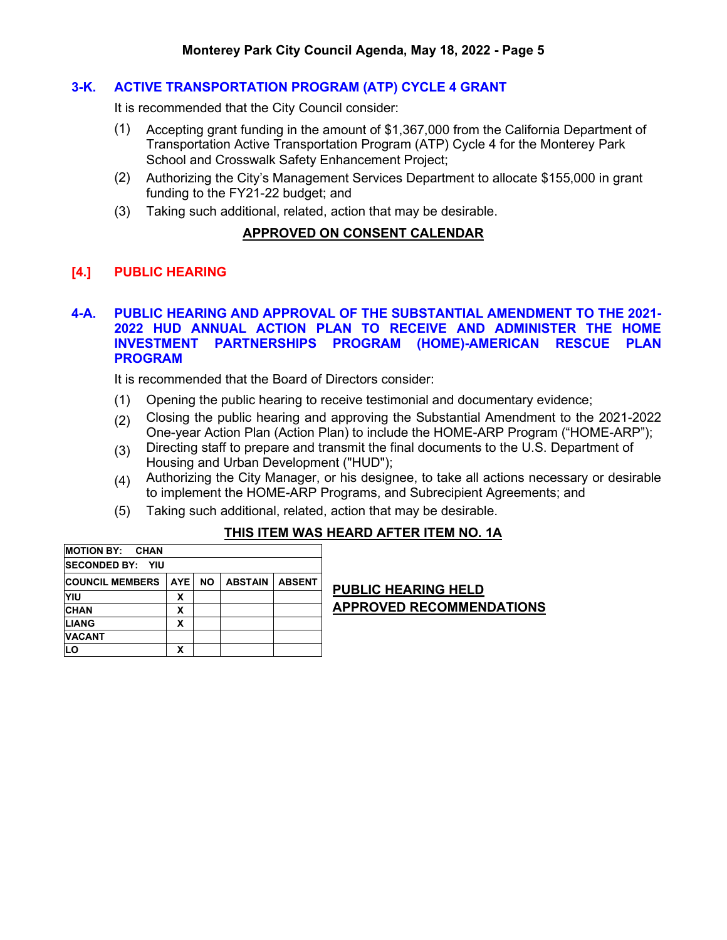### **3-K. ACTIVE TRANSPORTATION PROGRAM (ATP) CYCLE 4 GRANT**

It is recommended that the City Council consider:

- (1) Accepting grant funding in the amount of \$1,367,000 from the California Department of Transportation Active Transportation Program (ATP) Cycle 4 for the Monterey Park School and Crosswalk Safety Enhancement Project;
- (2) Authorizing the City's Management Services Department to allocate \$155,000 in grant funding to the FY21-22 budget; and
- (3) Taking such additional, related, action that may be desirable.

#### **APPROVED ON CONSENT CALENDAR**

#### **[4.] PUBLIC HEARING**

#### **4-A. PUBLIC HEARING AND APPROVAL OF THE SUBSTANTIAL AMENDMENT TO THE 2021- 2022 HUD ANNUAL ACTION PLAN TO RECEIVE AND ADMINISTER THE HOME INVESTMENT PARTNERSHIPS PROGRAM (HOME)-AMERICAN RESCUE PLAN PROGRAM**

It is recommended that the Board of Directors consider:

- (1) Opening the public hearing to receive testimonial and documentary evidence;
- (2) Closing the public hearing and approving the Substantial Amendment to the 2021-2022 One-year Action Plan (Action Plan) to include the HOME-ARP Program ("HOME-ARP");
- (3) Directing staff to prepare and transmit the final documents to the U.S. Department of Housing and Urban Development ("HUD");
- (4) Authorizing the City Manager, or his designee, to take all actions necessary or desirable to implement the HOME-ARP Programs, and Subrecipient Agreements; and
- (5) Taking such additional, related, action that may be desirable.

#### **THIS ITEM WAS HEARD AFTER ITEM NO. 1A**

| <b>MOTION BY: CHAN</b>   |       |           |                |               |
|--------------------------|-------|-----------|----------------|---------------|
| <b>ISECONDED BY: YIU</b> |       |           |                |               |
| <b>COUNCIL MEMBERS</b>   | AYE I | <b>NO</b> | <b>ABSTAIN</b> | <b>ABSENT</b> |
| YIU                      | x     |           |                |               |
| <b>CHAN</b>              | x     |           |                |               |
| <b>LIANG</b>             | x     |           |                |               |
| <b>VACANT</b>            |       |           |                |               |
| LО                       | χ     |           |                |               |

**PUBLIC HEARING HELD APPROVED RECOMMENDATIONS**